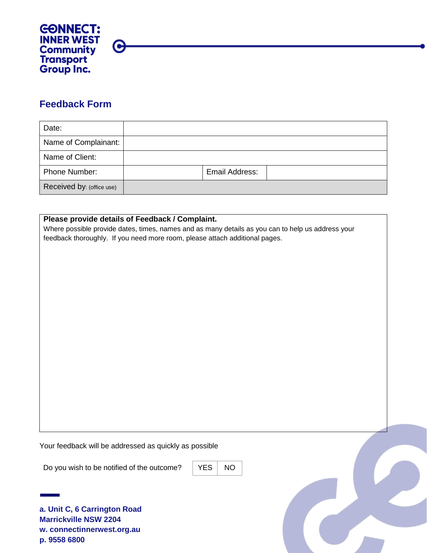

## **Feedback Form**

| Date:                     |                |  |
|---------------------------|----------------|--|
| Name of Complainant:      |                |  |
| Name of Client:           |                |  |
| Phone Number:             | Email Address: |  |
| Received by: (office use) |                |  |

## **Please provide details of Feedback / Complaint.**

Where possible provide dates, times, names and as many details as you can to help us address your feedback thoroughly. If you need more room, please attach additional pages.

Your feedback will be addressed as quickly as possible

Do you wish to be notified of the outcome?  $\vert$  YES  $\vert$  NO

**a. Unit C, 6 Carrington Road Marrickville NSW 2204 w. connectinnerwest.org.au p. 9558 6800**